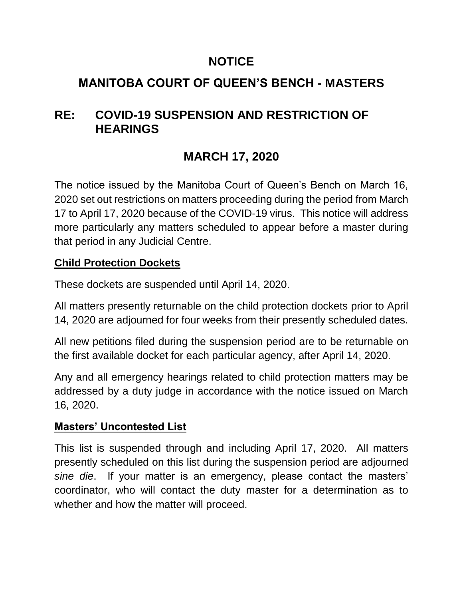### **NOTICE**

## **MANITOBA COURT OF QUEEN'S BENCH - MASTERS**

## **RE: COVID-19 SUSPENSION AND RESTRICTION OF HEARINGS**

# **MARCH 17, 2020**

The notice issued by the Manitoba Court of Queen's Bench on March 16, 2020 set out restrictions on matters proceeding during the period from March 17 to April 17, 2020 because of the COVID-19 virus. This notice will address more particularly any matters scheduled to appear before a master during that period in any Judicial Centre.

### **Child Protection Dockets**

These dockets are suspended until April 14, 2020.

All matters presently returnable on the child protection dockets prior to April 14, 2020 are adjourned for four weeks from their presently scheduled dates.

All new petitions filed during the suspension period are to be returnable on the first available docket for each particular agency, after April 14, 2020.

Any and all emergency hearings related to child protection matters may be addressed by a duty judge in accordance with the notice issued on March 16, 2020.

### **Masters' Uncontested List**

This list is suspended through and including April 17, 2020. All matters presently scheduled on this list during the suspension period are adjourned *sine die*. If your matter is an emergency, please contact the masters' coordinator, who will contact the duty master for a determination as to whether and how the matter will proceed.